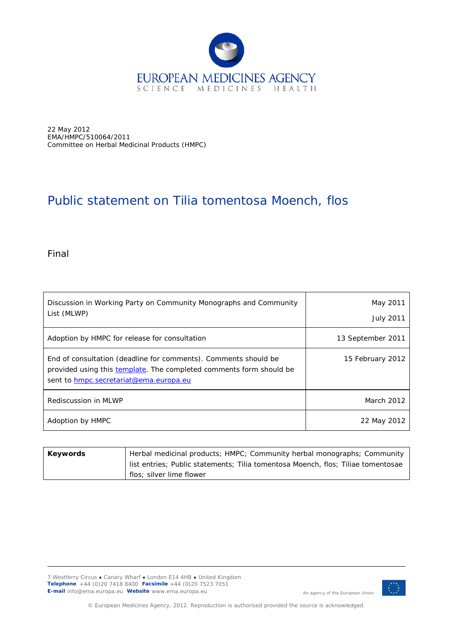

22 May 2012 EMA/HMPC/510064/2011 Committee on Herbal Medicinal Products (HMPC)

## Public statement on *Tilia tomentosa* Moench, flos

Final

| Discussion in Working Party on Community Monographs and Community<br>List (MLWP)                                                                                                 | May 2011<br><b>July 2011</b> |
|----------------------------------------------------------------------------------------------------------------------------------------------------------------------------------|------------------------------|
| Adoption by HMPC for release for consultation                                                                                                                                    | 13 September 2011            |
| End of consultation (deadline for comments). Comments should be<br>provided using this template. The completed comments form should be<br>sent to hmpc.secretariat@ema.europa.eu | 15 February 2012             |
| Rediscussion in MLWP                                                                                                                                                             | March 2012                   |
| Adoption by HMPC                                                                                                                                                                 | 22 May 2012                  |

| Keywords | Herbal medicinal products; HMPC; Community herbal monographs; Community          |  |
|----------|----------------------------------------------------------------------------------|--|
|          | list entries; Public statements; Tilia tomentosa Moench, flos; Tiliae tomentosae |  |
|          | flos; silver lime flower                                                         |  |

7 Westferry Circus **●** Canary Wharf **●** London E14 4HB **●** United Kingdom **Telephone** +44 (0)20 7418 8400 **Facsimile** +44 (0)20 7523 7051 **E-mail** info@ema.europa.eu **Website** www.ema.europa.eu



An agency of the European Union

© European Medicines Agency, 2012. Reproduction is authorised provided the source is acknowledged.